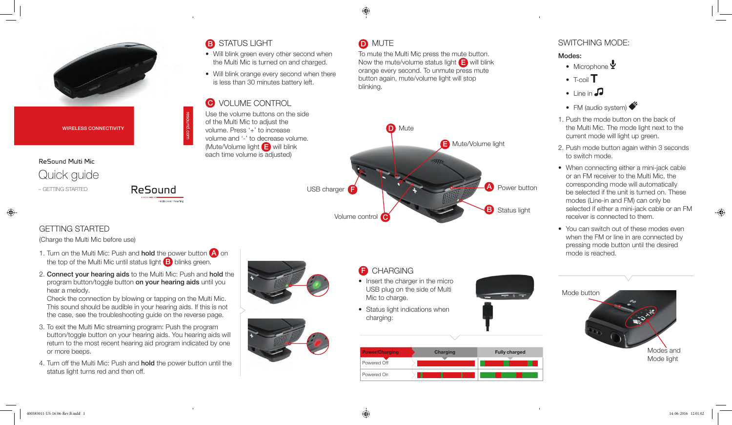

WIRELESS CONNECTIVITY

# ReSound Multi Mic Quick guide – GETTING STARTED

GETTING STARTED

(Charge the Multi Mic before use)

1. Turn on the Multi Mic: Push and **hold** the power button **A** on the top of the Multi Mic until status light  $\Box$  blinks green.

ReSound

2. Connect your hearing aids to the Multi Mic: Push and hold the program button/toggle button on your hearing aids until you hear a melody.

Check the connection by blowing or tapping on the Multi Mic. This sound should be audible in your hearing aids. If this is not the case, see the troubleshooting guide on the reverse page.

- 3. To exit the Multi Mic streaming program: Push the program button/toggle button on your hearing aids. You hearing aids will return to the most recent hearing aid program indicated by one or more beeps.
- 4. Turn off the Multi Mic: Push and hold the power button until the status light turns red and then off.

# **B** STATUS LIGHT

- Will blink green every other second when the Multi Mic is turned on and charged.
- Will blink orange every second when there is less than 30 minutes battery left.

# **C** VOLUME CONTROL

resound.com

Use the volume buttons on the side of the Multi Mic to adjust the volume. Press '+' to increase volume and '-' to decrease volume. (Mute/Volume light E will blink each time volume is adjusted)

# **D** MUTE

To mute the Multi Mic press the mute button. Now the mute/volume status light  $\Box$  will blink orange every second. To unmute press mute button again, mute/volume light will stop blinking.



**B** CHARGING

- Insert the charger in the micro USB plug on the side of Multi Mic to charge.
- Status light indications when charging:



## SWITCHING MODE:

### Modes:

- Microphone Y
- $\bullet$  T-coil  $\mathsf T$
- $\bullet$  Line in  $\Box$
- FM (audio system)
- 1. Push the mode button on the back of the Multi Mic. The mode light next to the current mode will light up green.
- 2. Push mode button again within 3 seconds to switch mode.
- When connecting either a mini-jack cable or an FM receiver to the Multi Mic, the corresponding mode will automatically be selected if the unit is turned on. These modes (Line-in and FM) can only be selected if either a mini-jack cable or an FM receiver is connected to them.
- You can switch out of these modes even when the FM or line in are connected by pressing mode button until the desired mode is reached.